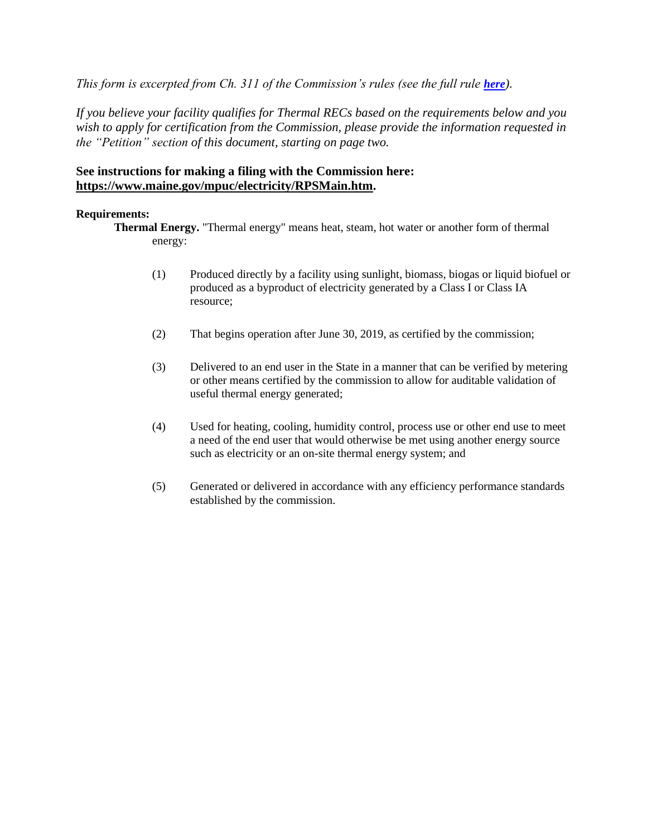*This form is excerpted from Ch. 311 of the Commission's rules (see the full rule [here](https://www.maine.gov/mpuc/legislative/rules/part3-electric.shtml)).* 

*If you believe your facility qualifies for Thermal RECs based on the requirements below and you wish to apply for certification from the Commission, please provide the information requested in the "Petition" section of this document, starting on page two.*

## **See instructions for making a filing with the Commission here: https://www.maine.gov/mpuc/electricity/RPSMain.htm.**

## **Requirements:**

**Thermal Energy.** "Thermal energy" means heat, steam, hot water or another form of thermal energy:

- (1) Produced directly by a facility using sunlight, biomass, biogas or liquid biofuel or produced as a byproduct of electricity generated by a Class I or Class IA resource;
- (2) That begins operation after June 30, 2019, as certified by the commission;
- (3) Delivered to an end user in the State in a manner that can be verified by metering or other means certified by the commission to allow for auditable validation of useful thermal energy generated;
- (4) Used for heating, cooling, humidity control, process use or other end use to meet a need of the end user that would otherwise be met using another energy source such as electricity or an on-site thermal energy system; and
- (5) Generated or delivered in accordance with any efficiency performance standards established by the commission.